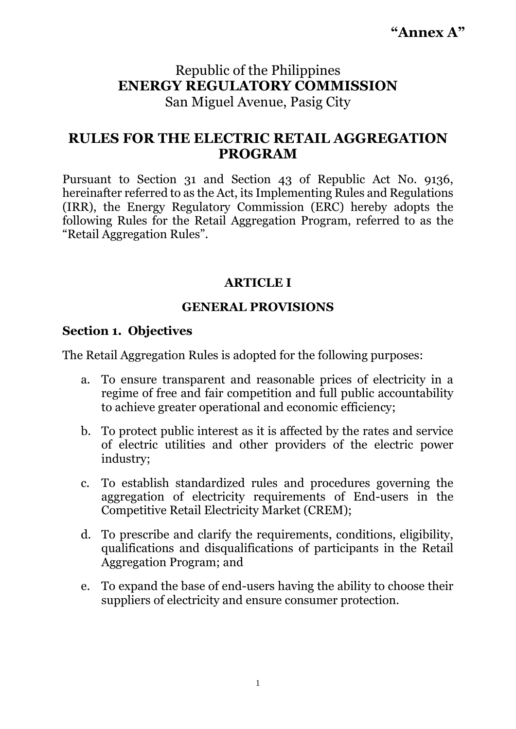**"Annex A"**

# Republic of the Philippines **ENERGY REGULATORY COMMISSION** San Miguel Avenue, Pasig City

# **RULES FOR THE ELECTRIC RETAIL AGGREGATION PROGRAM**

Pursuant to Section 31 and Section 43 of Republic Act No. 9136, hereinafter referred to as the Act, its Implementing Rules and Regulations (IRR), the Energy Regulatory Commission (ERC) hereby adopts the following Rules for the Retail Aggregation Program, referred to as the "Retail Aggregation Rules".

## **ARTICLE I**

## **GENERAL PROVISIONS**

### **Section 1. Objectives**

The Retail Aggregation Rules is adopted for the following purposes:

- a. To ensure transparent and reasonable prices of electricity in a regime of free and fair competition and full public accountability to achieve greater operational and economic efficiency;
- b. To protect public interest as it is affected by the rates and service of electric utilities and other providers of the electric power industry;
- c. To establish standardized rules and procedures governing the aggregation of electricity requirements of End-users in the Competitive Retail Electricity Market (CREM);
- d. To prescribe and clarify the requirements, conditions, eligibility, qualifications and disqualifications of participants in the Retail Aggregation Program; and
- e. To expand the base of end-users having the ability to choose their suppliers of electricity and ensure consumer protection.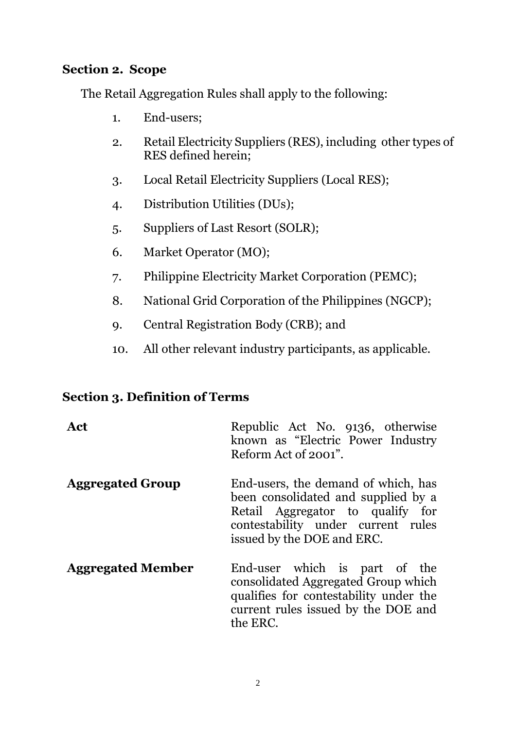## **Section 2. Scope**

The Retail Aggregation Rules shall apply to the following:

- 1. End-users;
- 2. Retail Electricity Suppliers (RES), including other types of RES defined herein;
- 3. Local Retail Electricity Suppliers (Local RES);
- 4. Distribution Utilities (DUs);
- 5. Suppliers of Last Resort (SOLR);
- 6. Market Operator (MO);
- 7. Philippine Electricity Market Corporation (PEMC);
- 8. National Grid Corporation of the Philippines (NGCP);
- 9. Central Registration Body (CRB); and
- 10. All other relevant industry participants, as applicable.

## **Section 3. Definition of Terms**

| Act                      | Republic Act No. 9136, otherwise<br>known as "Electric Power Industry"<br>Reform Act of 2001".                                                                                     |
|--------------------------|------------------------------------------------------------------------------------------------------------------------------------------------------------------------------------|
| <b>Aggregated Group</b>  | End-users, the demand of which, has<br>been consolidated and supplied by a<br>Retail Aggregator to qualify for<br>contestability under current rules<br>issued by the DOE and ERC. |
| <b>Aggregated Member</b> | End-user which is part of the<br>consolidated Aggregated Group which<br>qualifies for contestability under the<br>current rules issued by the DOE and<br>the ERC.                  |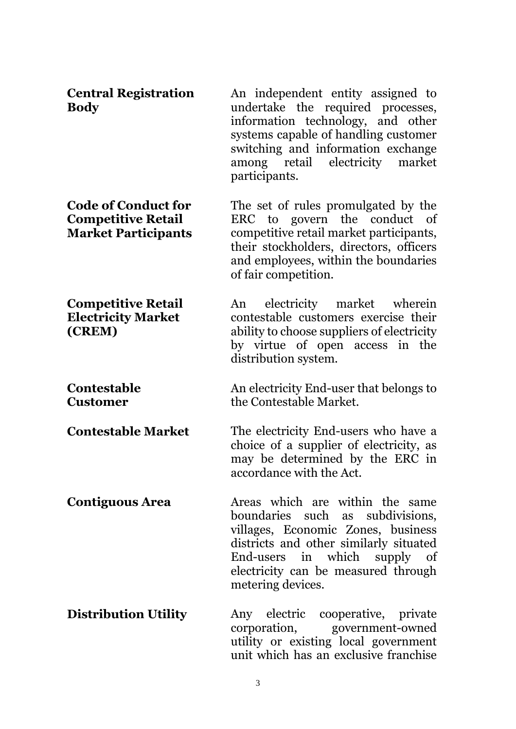| <b>Central Registration</b><br><b>Body</b>                                            | An independent entity assigned to<br>undertake the required processes,<br>information technology, and other<br>systems capable of handling customer<br>switching and information exchange<br>among retail electricity market<br>participants.   |
|---------------------------------------------------------------------------------------|-------------------------------------------------------------------------------------------------------------------------------------------------------------------------------------------------------------------------------------------------|
| <b>Code of Conduct for</b><br><b>Competitive Retail</b><br><b>Market Participants</b> | The set of rules promulgated by the<br>ERC to govern the conduct<br>of<br>competitive retail market participants,<br>their stockholders, directors, officers<br>and employees, within the boundaries<br>of fair competition.                    |
| <b>Competitive Retail</b><br><b>Electricity Market</b><br>(CREM)                      | electricity market wherein<br>An<br>contestable customers exercise their<br>ability to choose suppliers of electricity<br>by virtue of open access in the<br>distribution system.                                                               |
| <b>Contestable</b><br><b>Customer</b>                                                 | An electricity End-user that belongs to<br>the Contestable Market.                                                                                                                                                                              |
| <b>Contestable Market</b>                                                             | The electricity End-users who have a<br>choice of a supplier of electricity, as<br>may be determined by the ERC in<br>accordance with the Act.                                                                                                  |
| <b>Contiguous Area</b>                                                                | Areas which are within the same<br>boundaries such as subdivisions,<br>villages, Economic Zones, business<br>districts and other similarly situated<br>End-users in which supply of<br>electricity can be measured through<br>metering devices. |
| <b>Distribution Utility</b>                                                           | Any electric cooperative, private<br>corporation, government-owned<br>utility or existing local government<br>unit which has an exclusive franchise                                                                                             |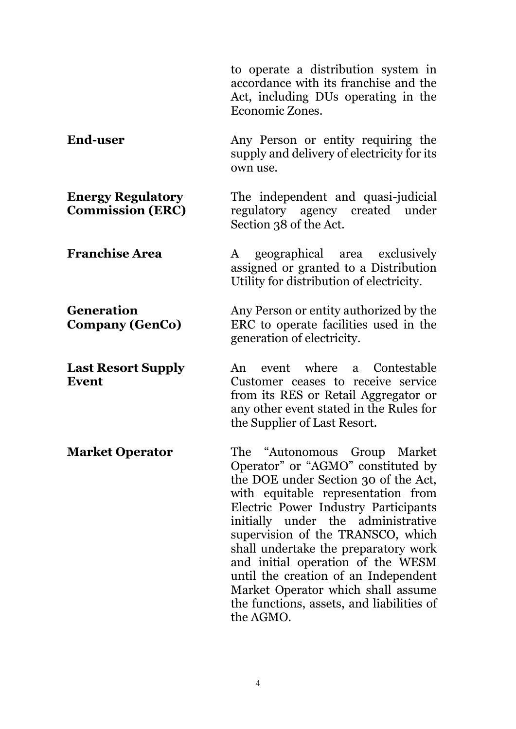|                                                     | to operate a distribution system in<br>accordance with its franchise and the<br>Act, including DUs operating in the<br>Economic Zones.                                                                                                                                                                                                                                                                                                                                      |
|-----------------------------------------------------|-----------------------------------------------------------------------------------------------------------------------------------------------------------------------------------------------------------------------------------------------------------------------------------------------------------------------------------------------------------------------------------------------------------------------------------------------------------------------------|
| <b>End-user</b>                                     | Any Person or entity requiring the<br>supply and delivery of electricity for its<br>own use.                                                                                                                                                                                                                                                                                                                                                                                |
| <b>Energy Regulatory</b><br><b>Commission (ERC)</b> | The independent and quasi-judicial<br>regulatory agency created under<br>Section 38 of the Act.                                                                                                                                                                                                                                                                                                                                                                             |
| <b>Franchise Area</b>                               | A geographical area exclusively<br>assigned or granted to a Distribution<br>Utility for distribution of electricity.                                                                                                                                                                                                                                                                                                                                                        |
| <b>Generation</b><br><b>Company (GenCo)</b>         | Any Person or entity authorized by the<br>ERC to operate facilities used in the<br>generation of electricity.                                                                                                                                                                                                                                                                                                                                                               |
| <b>Last Resort Supply</b><br>Event                  | event where a<br>Contestable<br>An<br>Customer ceases to receive service<br>from its RES or Retail Aggregator or<br>any other event stated in the Rules for<br>the Supplier of Last Resort.                                                                                                                                                                                                                                                                                 |
| <b>Market Operator</b>                              | The "Autonomous Group Market<br>Operator" or "AGMO" constituted by<br>the DOE under Section 30 of the Act,<br>with equitable representation from<br>Electric Power Industry Participants<br>initially under the administrative<br>supervision of the TRANSCO, which<br>shall undertake the preparatory work<br>and initial operation of the WESM<br>until the creation of an Independent<br>Market Operator which shall assume<br>the functions, assets, and liabilities of |

the AGMO.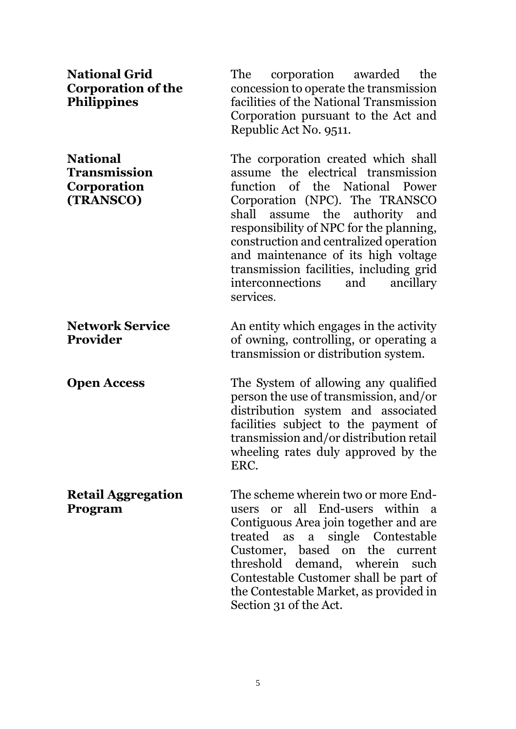| <b>National Grid</b><br><b>Corporation of the</b><br><b>Philippines</b> | The<br>corporation awarded<br>the<br>concession to operate the transmission<br>facilities of the National Transmission<br>Corporation pursuant to the Act and<br>Republic Act No. 9511.                                                                                                                                                                                                                        |
|-------------------------------------------------------------------------|----------------------------------------------------------------------------------------------------------------------------------------------------------------------------------------------------------------------------------------------------------------------------------------------------------------------------------------------------------------------------------------------------------------|
| <b>National</b><br>Transmission<br>Corporation<br>(TRANSCO)             | The corporation created which shall<br>assume the electrical transmission<br>function of the National Power<br>Corporation (NPC). The TRANSCO<br>assume the authority and<br>shall<br>responsibility of NPC for the planning,<br>construction and centralized operation<br>and maintenance of its high voltage<br>transmission facilities, including grid<br>interconnections<br>and<br>ancillary<br>services. |
| <b>Network Service</b><br>Provider                                      | An entity which engages in the activity<br>of owning, controlling, or operating a<br>transmission or distribution system.                                                                                                                                                                                                                                                                                      |
| <b>Open Access</b>                                                      | The System of allowing any qualified<br>person the use of transmission, and/or<br>distribution system and associated<br>facilities subject to the payment of<br>transmission and/or distribution retail<br>wheeling rates duly approved by the<br>ERC.                                                                                                                                                         |
| <b>Retail Aggregation</b><br>Program                                    | The scheme wherein two or more End-<br>users or all End-users within a<br>Contiguous Area join together and are<br>a single Contestable<br>treated as<br>Customer, based on the current<br>threshold demand, wherein such<br>Contestable Customer shall be part of<br>the Contestable Market, as provided in<br>Section 31 of the Act.                                                                         |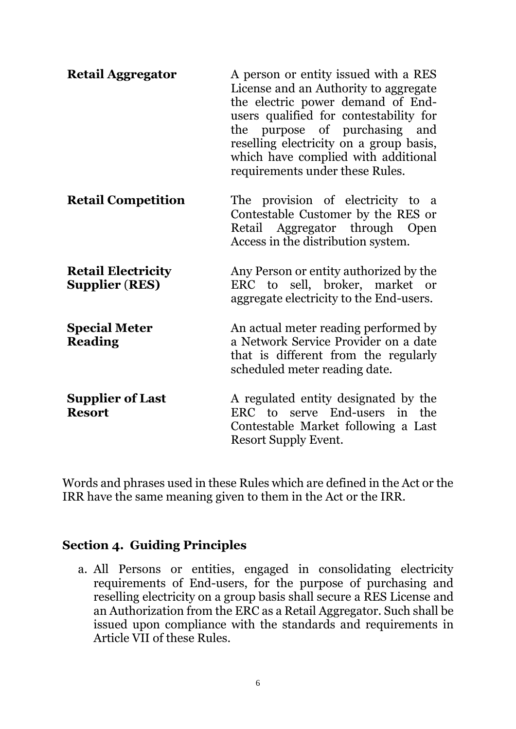| <b>Retail Aggregator</b>                           | A person or entity issued with a RES<br>License and an Authority to aggregate<br>the electric power demand of End-<br>users qualified for contestability for<br>the purpose of purchasing and<br>reselling electricity on a group basis,<br>which have complied with additional<br>requirements under these Rules. |
|----------------------------------------------------|--------------------------------------------------------------------------------------------------------------------------------------------------------------------------------------------------------------------------------------------------------------------------------------------------------------------|
| <b>Retail Competition</b>                          | The provision of electricity to a<br>Contestable Customer by the RES or<br>Retail Aggregator through Open<br>Access in the distribution system.                                                                                                                                                                    |
| <b>Retail Electricity</b><br><b>Supplier (RES)</b> | Any Person or entity authorized by the<br>ERC to sell, broker, market or<br>aggregate electricity to the End-users.                                                                                                                                                                                                |
| <b>Special Meter</b><br><b>Reading</b>             | An actual meter reading performed by<br>a Network Service Provider on a date<br>that is different from the regularly<br>scheduled meter reading date.                                                                                                                                                              |
| <b>Supplier of Last</b><br><b>Resort</b>           | A regulated entity designated by the<br>ERC to serve End-users in the<br>Contestable Market following a Last<br>Resort Supply Event.                                                                                                                                                                               |

Words and phrases used in these Rules which are defined in the Act or the IRR have the same meaning given to them in the Act or the IRR.

## **Section 4. Guiding Principles**

a. All Persons or entities, engaged in consolidating electricity requirements of End-users, for the purpose of purchasing and reselling electricity on a group basis shall secure a RES License and an Authorization from the ERC as a Retail Aggregator. Such shall be issued upon compliance with the standards and requirements in Article VII of these Rules.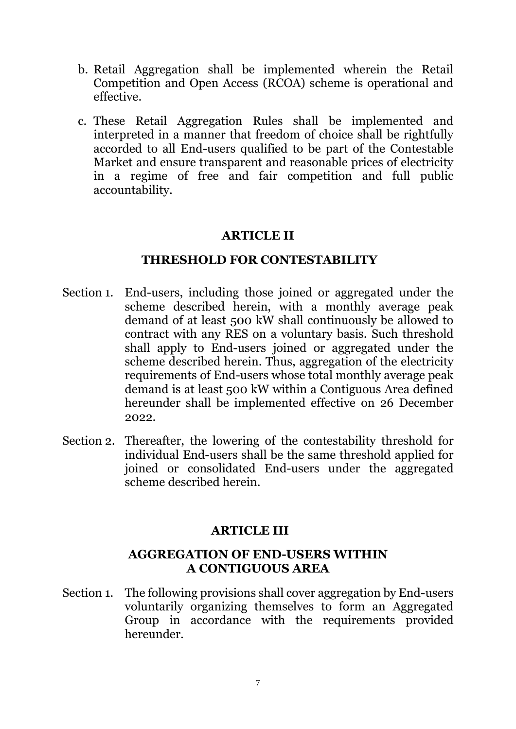- b. Retail Aggregation shall be implemented wherein the Retail Competition and Open Access (RCOA) scheme is operational and effective.
- c. These Retail Aggregation Rules shall be implemented and interpreted in a manner that freedom of choice shall be rightfully accorded to all End-users qualified to be part of the Contestable Market and ensure transparent and reasonable prices of electricity in a regime of free and fair competition and full public accountability.

### **ARTICLE II**

#### **THRESHOLD FOR CONTESTABILITY**

- Section 1. End-users, including those joined or aggregated under the scheme described herein, with a monthly average peak demand of at least 500 kW shall continuously be allowed to contract with any RES on a voluntary basis. Such threshold shall apply to End-users joined or aggregated under the scheme described herein. Thus, aggregation of the electricity requirements of End-users whose total monthly average peak demand is at least 500 kW within a Contiguous Area defined hereunder shall be implemented effective on 26 December 2022.
- Section 2. Thereafter, the lowering of the contestability threshold for individual End-users shall be the same threshold applied for joined or consolidated End-users under the aggregated scheme described herein.

### **ARTICLE III**

### **AGGREGATION OF END-USERS WITHIN A CONTIGUOUS AREA**

Section 1. The following provisions shall cover aggregation by End-users voluntarily organizing themselves to form an Aggregated Group in accordance with the requirements provided hereunder.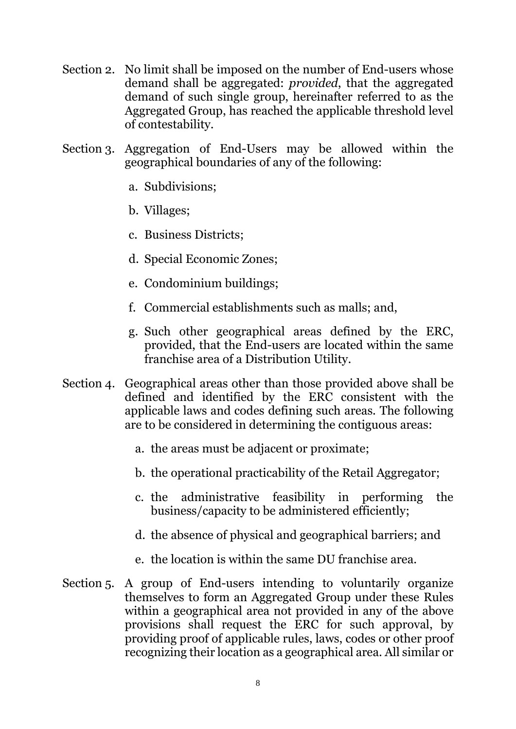- Section 2. No limit shall be imposed on the number of End-users whose demand shall be aggregated: *provided*, that the aggregated demand of such single group, hereinafter referred to as the Aggregated Group, has reached the applicable threshold level of contestability.
- Section 3. Aggregation of End-Users may be allowed within the geographical boundaries of any of the following:
	- a. Subdivisions;
	- b. Villages;
	- c. Business Districts;
	- d. Special Economic Zones;
	- e. Condominium buildings;
	- f. Commercial establishments such as malls; and,
	- g. Such other geographical areas defined by the ERC, provided, that the End-users are located within the same franchise area of a Distribution Utility.
- Section 4. Geographical areas other than those provided above shall be defined and identified by the ERC consistent with the applicable laws and codes defining such areas. The following are to be considered in determining the contiguous areas:
	- a. the areas must be adjacent or proximate;
	- b. the operational practicability of the Retail Aggregator;
	- c. the administrative feasibility in performing the business/capacity to be administered efficiently;
	- d. the absence of physical and geographical barriers; and
	- e. the location is within the same DU franchise area.
- Section 5. A group of End-users intending to voluntarily organize themselves to form an Aggregated Group under these Rules within a geographical area not provided in any of the above provisions shall request the ERC for such approval, by providing proof of applicable rules, laws, codes or other proof recognizing their location as a geographical area. All similar or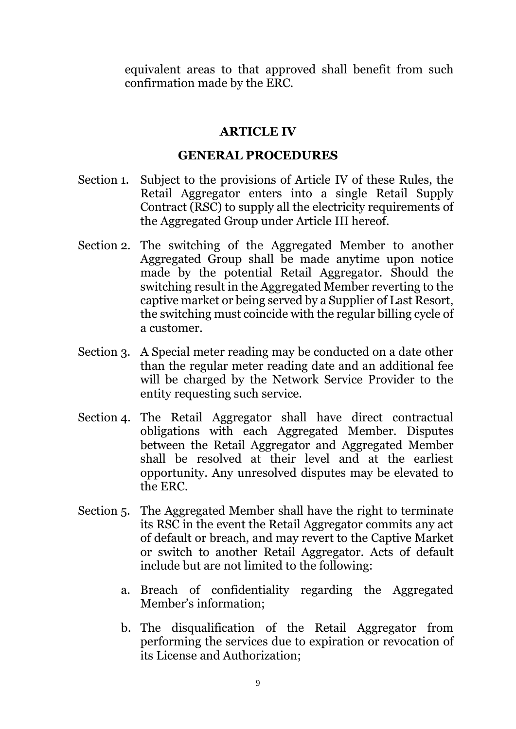equivalent areas to that approved shall benefit from such confirmation made by the ERC.

#### **ARTICLE IV**

#### **GENERAL PROCEDURES**

- Section 1. Subject to the provisions of Article IV of these Rules, the Retail Aggregator enters into a single Retail Supply Contract (RSC) to supply all the electricity requirements of the Aggregated Group under Article III hereof.
- Section 2. The switching of the Aggregated Member to another Aggregated Group shall be made anytime upon notice made by the potential Retail Aggregator. Should the switching result in the Aggregated Member reverting to the captive market or being served by a Supplier of Last Resort, the switching must coincide with the regular billing cycle of a customer.
- Section 3. A Special meter reading may be conducted on a date other than the regular meter reading date and an additional fee will be charged by the Network Service Provider to the entity requesting such service.
- Section 4. The Retail Aggregator shall have direct contractual obligations with each Aggregated Member. Disputes between the Retail Aggregator and Aggregated Member shall be resolved at their level and at the earliest opportunity. Any unresolved disputes may be elevated to the ERC.
- Section 5. The Aggregated Member shall have the right to terminate its RSC in the event the Retail Aggregator commits any act of default or breach, and may revert to the Captive Market or switch to another Retail Aggregator. Acts of default include but are not limited to the following:
	- a. Breach of confidentiality regarding the Aggregated Member's information;
	- b. The disqualification of the Retail Aggregator from performing the services due to expiration or revocation of its License and Authorization;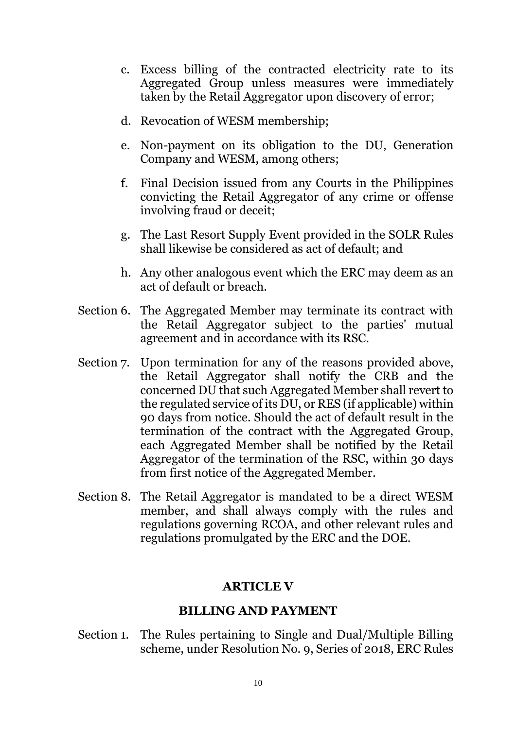- c. Excess billing of the contracted electricity rate to its Aggregated Group unless measures were immediately taken by the Retail Aggregator upon discovery of error;
- d. Revocation of WESM membership;
- e. Non-payment on its obligation to the DU, Generation Company and WESM, among others;
- f. Final Decision issued from any Courts in the Philippines convicting the Retail Aggregator of any crime or offense involving fraud or deceit;
- g. The Last Resort Supply Event provided in the SOLR Rules shall likewise be considered as act of default; and
- h. Any other analogous event which the ERC may deem as an act of default or breach.
- Section 6. The Aggregated Member may terminate its contract with the Retail Aggregator subject to the parties' mutual agreement and in accordance with its RSC.
- Section 7. Upon termination for any of the reasons provided above, the Retail Aggregator shall notify the CRB and the concerned DU that such Aggregated Member shall revert to the regulated service of its DU, or RES (if applicable) within 90 days from notice. Should the act of default result in the termination of the contract with the Aggregated Group, each Aggregated Member shall be notified by the Retail Aggregator of the termination of the RSC, within 30 days from first notice of the Aggregated Member.
- Section 8. The Retail Aggregator is mandated to be a direct WESM member, and shall always comply with the rules and regulations governing RCOA, and other relevant rules and regulations promulgated by the ERC and the DOE.

### **ARTICLE V**

#### **BILLING AND PAYMENT**

Section 1. The Rules pertaining to Single and Dual/Multiple Billing scheme, under Resolution No. 9, Series of 2018, ERC Rules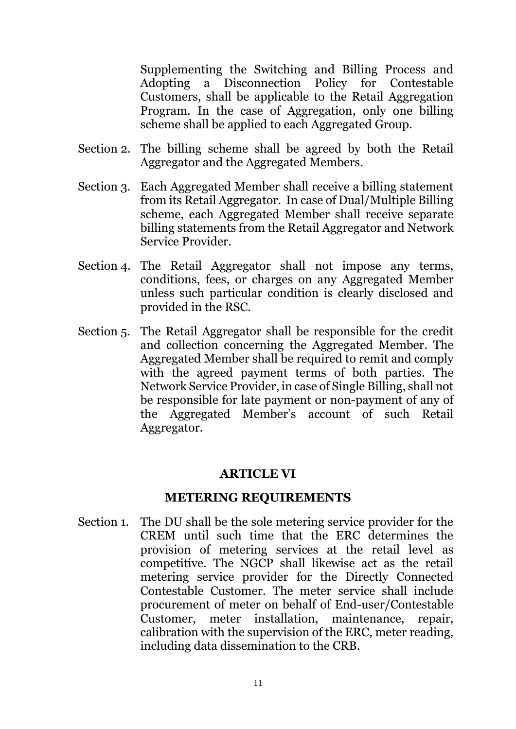Supplementing the Switching and Billing Process and Adopting a Disconnection Policy for Contestable Customers, shall be applicable to the Retail Aggregation Program. In the case of Aggregation, only one billing scheme shall be applied to each Aggregated Group.

- Section 2. The billing scheme shall be agreed by both the Retail Aggregator and the Aggregated Members.
- Section 3. Each Aggregated Member shall receive a billing statement from its Retail Aggregator. In case of Dual/Multiple Billing scheme, each Aggregated Member shall receive separate billing statements from the Retail Aggregator and Network Service Provider.
- Section 4. The Retail Aggregator shall not impose any terms, conditions, fees, or charges on any Aggregated Member unless such particular condition is clearly disclosed and provided in the RSC.
- Section 5. The Retail Aggregator shall be responsible for the credit and collection concerning the Aggregated Member. The Aggregated Member shall be required to remit and comply with the agreed payment terms of both parties. The Network Service Provider, in case of Single Billing, shall not be responsible for late payment or non-payment of any of the Aggregated Member's account of such Retail Aggregator.

## **ARTICLE VI**

### **METERING REQUIREMENTS**

Section 1. The DU shall be the sole metering service provider for the CREM until such time that the ERC determines the provision of metering services at the retail level as competitive. The NGCP shall likewise act as the retail metering service provider for the Directly Connected Contestable Customer. The meter service shall include procurement of meter on behalf of End-user/Contestable Customer, meter installation, maintenance, repair, calibration with the supervision of the ERC, meter reading, including data dissemination to the CRB.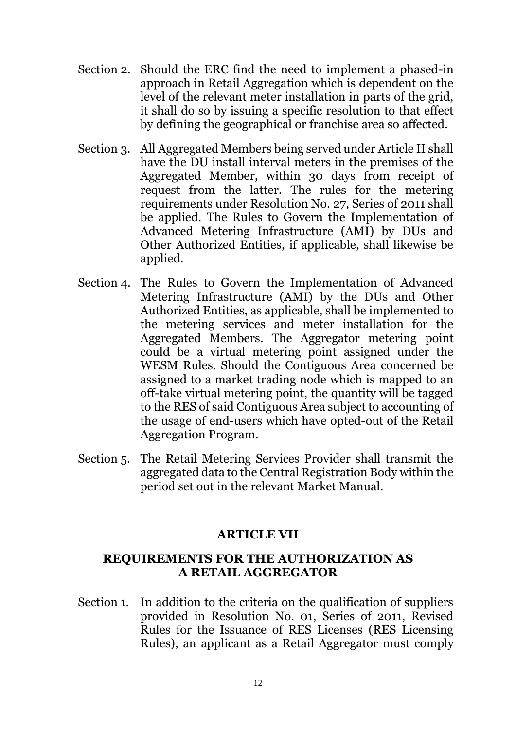- Section 2. Should the ERC find the need to implement a phased-in approach in Retail Aggregation which is dependent on the level of the relevant meter installation in parts of the grid, it shall do so by issuing a specific resolution to that effect by defining the geographical or franchise area so affected.
- Section 3. All Aggregated Members being served under Article II shall have the DU install interval meters in the premises of the Aggregated Member, within 30 days from receipt of request from the latter. The rules for the metering requirements under Resolution No. 27, Series of 2011 shall be applied. The Rules to Govern the Implementation of Advanced Metering Infrastructure (AMI) by DUs and Other Authorized Entities, if applicable, shall likewise be applied.
- Section 4. The Rules to Govern the Implementation of Advanced Metering Infrastructure (AMI) by the DUs and Other Authorized Entities, as applicable, shall be implemented to the metering services and meter installation for the Aggregated Members. The Aggregator metering point could be a virtual metering point assigned under the WESM Rules. Should the Contiguous Area concerned be assigned to a market trading node which is mapped to an off-take virtual metering point, the quantity will be tagged to the RES of said Contiguous Area subject to accounting of the usage of end-users which have opted-out of the Retail Aggregation Program.
- Section 5. The Retail Metering Services Provider shall transmit the aggregated data to the Central Registration Body within the period set out in the relevant Market Manual.

## **ARTICLE VII**

### **REQUIREMENTS FOR THE AUTHORIZATION AS A RETAIL AGGREGATOR**

Section 1. In addition to the criteria on the qualification of suppliers provided in Resolution No. 01, Series of 2011, Revised Rules for the Issuance of RES Licenses (RES Licensing Rules), an applicant as a Retail Aggregator must comply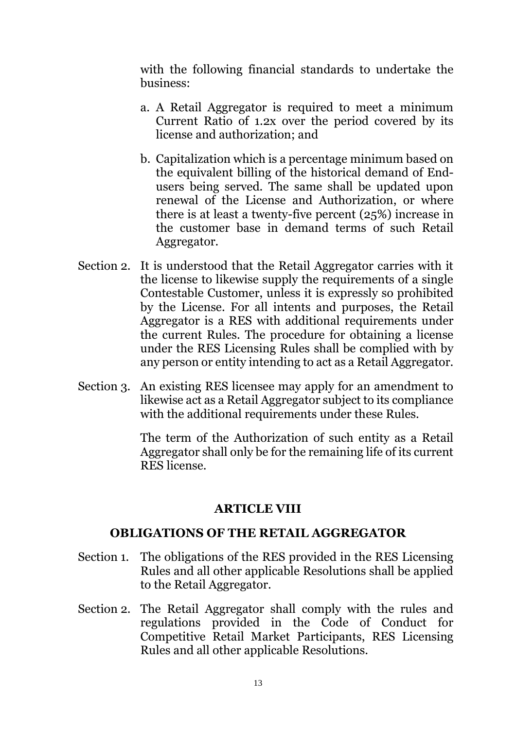with the following financial standards to undertake the business:

- a. A Retail Aggregator is required to meet a minimum Current Ratio of 1.2x over the period covered by its license and authorization; and
- b. Capitalization which is a percentage minimum based on the equivalent billing of the historical demand of Endusers being served. The same shall be updated upon renewal of the License and Authorization, or where there is at least a twenty-five percent (25%) increase in the customer base in demand terms of such Retail Aggregator.
- Section 2. It is understood that the Retail Aggregator carries with it the license to likewise supply the requirements of a single Contestable Customer, unless it is expressly so prohibited by the License. For all intents and purposes, the Retail Aggregator is a RES with additional requirements under the current Rules. The procedure for obtaining a license under the RES Licensing Rules shall be complied with by any person or entity intending to act as a Retail Aggregator.
- Section 3. An existing RES licensee may apply for an amendment to likewise act as a Retail Aggregator subject to its compliance with the additional requirements under these Rules.

The term of the Authorization of such entity as a Retail Aggregator shall only be for the remaining life of its current RES license.

#### **ARTICLE VIII**

### **OBLIGATIONS OF THE RETAIL AGGREGATOR**

- Section 1. The obligations of the RES provided in the RES Licensing Rules and all other applicable Resolutions shall be applied to the Retail Aggregator.
- Section 2. The Retail Aggregator shall comply with the rules and regulations provided in the Code of Conduct for Competitive Retail Market Participants, RES Licensing Rules and all other applicable Resolutions.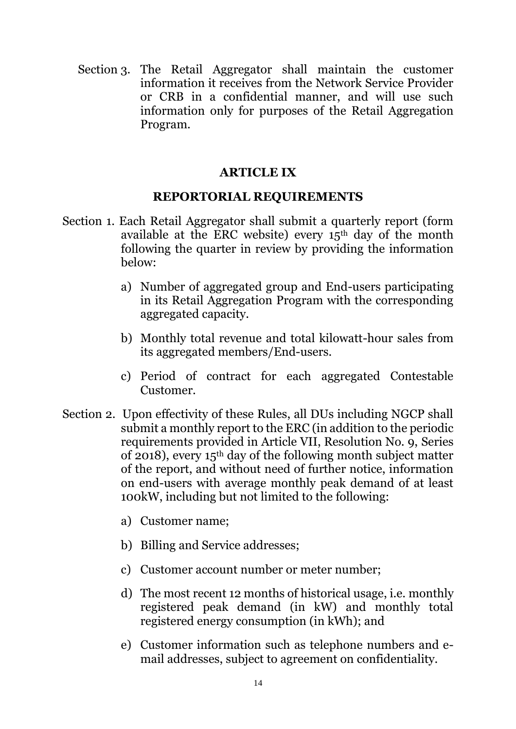Section 3. The Retail Aggregator shall maintain the customer information it receives from the Network Service Provider or CRB in a confidential manner, and will use such information only for purposes of the Retail Aggregation Program.

## **ARTICLE IX**

### **REPORTORIAL REQUIREMENTS**

- Section 1. Each Retail Aggregator shall submit a quarterly report (form available at the ERC website) every 15th day of the month following the quarter in review by providing the information below:
	- a) Number of aggregated group and End-users participating in its Retail Aggregation Program with the corresponding aggregated capacity.
	- b) Monthly total revenue and total kilowatt-hour sales from its aggregated members/End-users.
	- c) Period of contract for each aggregated Contestable Customer.
- Section 2. Upon effectivity of these Rules, all DUs including NGCP shall submit a monthly report to the ERC (in addition to the periodic requirements provided in Article VII, Resolution No. 9, Series of 2018), every 15th day of the following month subject matter of the report, and without need of further notice, information on end-users with average monthly peak demand of at least 100kW, including but not limited to the following:
	- a) Customer name;
	- b) Billing and Service addresses;
	- c) Customer account number or meter number;
	- d) The most recent 12 months of historical usage, i.e. monthly registered peak demand (in kW) and monthly total registered energy consumption (in kWh); and
	- e) Customer information such as telephone numbers and email addresses, subject to agreement on confidentiality.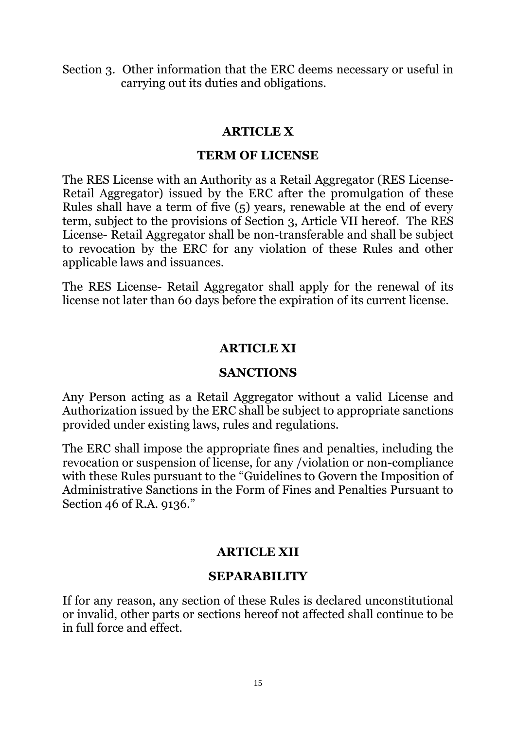Section 3. Other information that the ERC deems necessary or useful in carrying out its duties and obligations.

### **ARTICLE X**

#### **TERM OF LICENSE**

The RES License with an Authority as a Retail Aggregator (RES License-Retail Aggregator) issued by the ERC after the promulgation of these Rules shall have a term of five (5) years, renewable at the end of every term, subject to the provisions of Section 3, Article VII hereof. The RES License- Retail Aggregator shall be non-transferable and shall be subject to revocation by the ERC for any violation of these Rules and other applicable laws and issuances.

The RES License- Retail Aggregator shall apply for the renewal of its license not later than 60 days before the expiration of its current license.

## **ARTICLE XI**

### **SANCTIONS**

Any Person acting as a Retail Aggregator without a valid License and Authorization issued by the ERC shall be subject to appropriate sanctions provided under existing laws, rules and regulations.

The ERC shall impose the appropriate fines and penalties, including the revocation or suspension of license, for any /violation or non-compliance with these Rules pursuant to the "Guidelines to Govern the Imposition of Administrative Sanctions in the Form of Fines and Penalties Pursuant to Section 46 of R.A. 9136."

## **ARTICLE XII**

### **SEPARABILITY**

If for any reason, any section of these Rules is declared unconstitutional or invalid, other parts or sections hereof not affected shall continue to be in full force and effect.